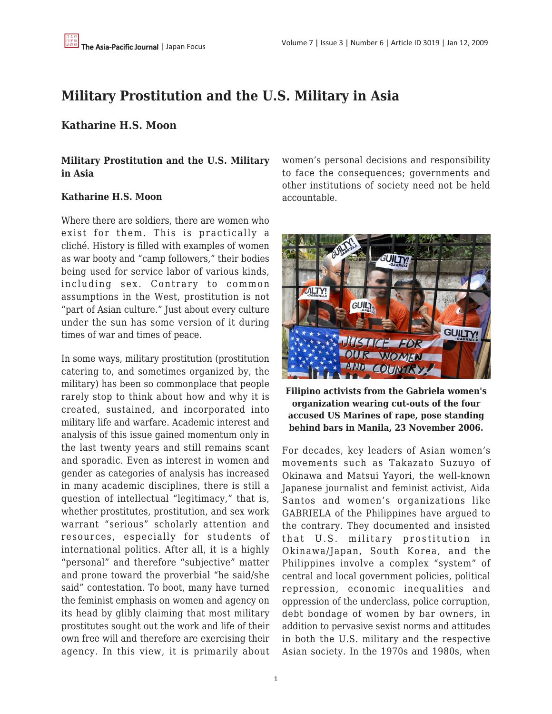# **Military Prostitution and the U.S. Military in Asia**

# **Katharine H.S. Moon**

# **Military Prostitution and the U.S. Military in Asia**

#### **Katharine H.S. Moon**

Where there are soldiers, there are women who exist for them. This is practically a cliché. History is filled with examples of women as war booty and "camp followers," their bodies being used for service labor of various kinds, including sex. Contrary to common assumptions in the West, prostitution is not "part of Asian culture." Just about every culture under the sun has some version of it during times of war and times of peace.

In some ways, military prostitution (prostitution catering to, and sometimes organized by, the military) has been so commonplace that people rarely stop to think about how and why it is created, sustained, and incorporated into military life and warfare. Academic interest and analysis of this issue gained momentum only in the last twenty years and still remains scant and sporadic. Even as interest in women and gender as categories of analysis has increased in many academic disciplines, there is still a question of intellectual "legitimacy," that is, whether prostitutes, prostitution, and sex work warrant "serious" scholarly attention and resources, especially for students of international politics. After all, it is a highly "personal" and therefore "subjective" matter and prone toward the proverbial "he said/she said" contestation. To boot, many have turned the feminist emphasis on women and agency on its head by glibly claiming that most military prostitutes sought out the work and life of their own free will and therefore are exercising their agency. In this view, it is primarily about women's personal decisions and responsibility to face the consequences; governments and other institutions of society need not be held accountable.



**Filipino activists from the Gabriela women's organization wearing cut-outs of the four accused US Marines of rape, pose standing behind bars in Manila, 23 November 2006.**

For decades, key leaders of Asian women's movements such as Takazato Suzuyo of Okinawa and Matsui Yayori, the well-known Japanese journalist and feminist activist, Aida Santos and women's organizations like GABRIELA of the Philippines have argued to the contrary. They documented and insisted that U.S. military prostitution in Okinawa/Japan, South Korea, and the Philippines involve a complex "system" of central and local government policies, political repression, economic inequalities and oppression of the underclass, police corruption, debt bondage of women by bar owners, in addition to pervasive sexist norms and attitudes in both the U.S. military and the respective Asian society. In the 1970s and 1980s, when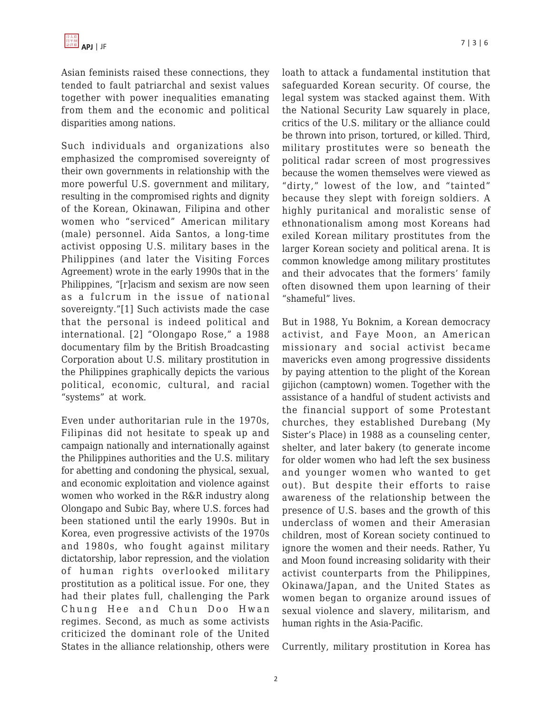Asian feminists raised these connections, they tended to fault patriarchal and sexist values together with power inequalities emanating from them and the economic and political disparities among nations.

Such individuals and organizations also emphasized the compromised sovereignty of their own governments in relationship with the more powerful U.S. government and military, resulting in the compromised rights and dignity of the Korean, Okinawan, Filipina and other women who "serviced" American military (male) personnel. Aida Santos, a long-time activist opposing U.S. military bases in the Philippines (and later the Visiting Forces Agreement) wrote in the early 1990s that in the Philippines, "[r]acism and sexism are now seen as a fulcrum in the issue of national sovereignty."[1] Such activists made the case that the personal is indeed political and international. [2] "Olongapo Rose," a 1988 documentary film by the British Broadcasting Corporation about U.S. military prostitution in the Philippines graphically depicts the various political, economic, cultural, and racial "systems" at work.

Even under authoritarian rule in the 1970s, Filipinas did not hesitate to speak up and campaign nationally and internationally against the Philippines authorities and the U.S. military for abetting and condoning the physical, sexual, and economic exploitation and violence against women who worked in the R&R industry along Olongapo and Subic Bay, where U.S. forces had been stationed until the early 1990s. But in Korea, even progressive activists of the 1970s and 1980s, who fought against military dictatorship, labor repression, and the violation of human rights overlooked military prostitution as a political issue. For one, they had their plates full, challenging the Park Chung Hee and Chun Doo Hwan regimes. Second, as much as some activists criticized the dominant role of the United States in the alliance relationship, others were loath to attack a fundamental institution that safeguarded Korean security. Of course, the legal system was stacked against them. With the National Security Law squarely in place, critics of the U.S. military or the alliance could be thrown into prison, tortured, or killed. Third, military prostitutes were so beneath the political radar screen of most progressives because the women themselves were viewed as "dirty," lowest of the low, and "tainted" because they slept with foreign soldiers. A highly puritanical and moralistic sense of ethnonationalism among most Koreans had exiled Korean military prostitutes from the larger Korean society and political arena. It is common knowledge among military prostitutes and their advocates that the formers' family often disowned them upon learning of their "shameful" lives.

But in 1988, Yu Boknim, a Korean democracy activist, and Faye Moon, an American missionary and social activist became mavericks even among progressive dissidents by paying attention to the plight of the Korean gijichon (camptown) women. Together with the assistance of a handful of student activists and the financial support of some Protestant churches, they established Durebang (My Sister's Place) in 1988 as a counseling center, shelter, and later bakery (to generate income for older women who had left the sex business and younger women who wanted to get out). But despite their efforts to raise awareness of the relationship between the presence of U.S. bases and the growth of this underclass of women and their Amerasian children, most of Korean society continued to ignore the women and their needs. Rather, Yu and Moon found increasing solidarity with their activist counterparts from the Philippines, Okinawa/Japan, and the United States as women began to organize around issues of sexual violence and slavery, militarism, and human rights in the Asia-Pacific.

Currently, military prostitution in Korea has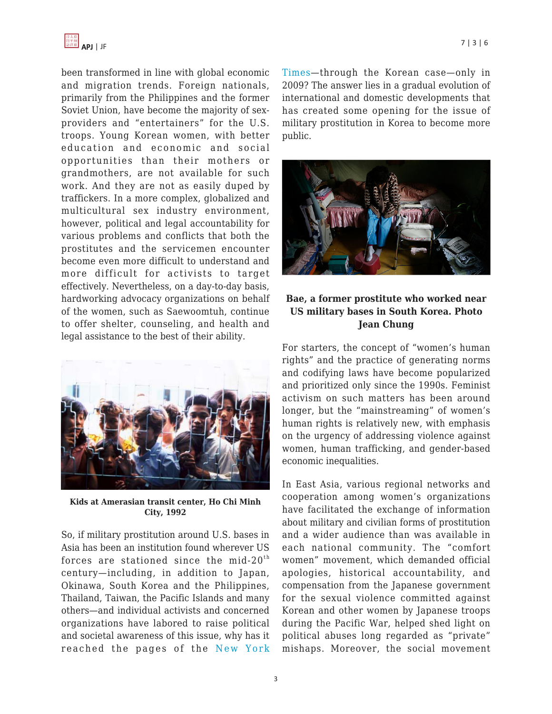been transformed in line with global economic and migration trends. Foreign nationals, primarily from the Philippines and the former Soviet Union, have become the majority of sexproviders and "entertainers" for the U.S. troops. Young Korean women, with better education and economic and social opportunities than their mothers or grandmothers, are not available for such work. And they are not as easily duped by traffickers. In a more complex, globalized and multicultural sex industry environment, however, political and legal accountability for various problems and conflicts that both the prostitutes and the servicemen encounter become even more difficult to understand and more difficult for activists to target effectively. Nevertheless, on a day-to-day basis, hardworking advocacy organizations on behalf of the women, such as Saewoomtuh, continue to offer shelter, counseling, and health and legal assistance to the best of their ability.



**Kids at Amerasian transit center, Ho Chi Minh City, 1992**

So, if military prostitution around U.S. bases in Asia has been an institution found wherever US forces are stationed since the mid- $20^{th}$ century—including, in addition to Japan, Okinawa, South Korea and the Philippines, Thailand, Taiwan, the Pacific Islands and many others—and individual activists and concerned organizations have labored to raise political and societal awareness of this issue, why has it reached the pages of the [New York](http://www.nytimes.com/2009/01/08/world/asia/08korea.html) [Times—](http://www.nytimes.com/2009/01/08/world/asia/08korea.html)through the Korean case—only in 2009? The answer lies in a gradual evolution of international and domestic developments that has created some opening for the issue of military prostitution in Korea to become more public.



### **Bae, a former prostitute who worked near US military bases in South Korea. Photo Jean Chung**

For starters, the concept of "women's human rights" and the practice of generating norms and codifying laws have become popularized and prioritized only since the 1990s. Feminist activism on such matters has been around longer, but the "mainstreaming" of women's human rights is relatively new, with emphasis on the urgency of addressing violence against women, human trafficking, and gender-based economic inequalities.

In East Asia, various regional networks and cooperation among women's organizations have facilitated the exchange of information about military and civilian forms of prostitution and a wider audience than was available in each national community. The "comfort women" movement, which demanded official apologies, historical accountability, and compensation from the Japanese government for the sexual violence committed against Korean and other women by Japanese troops during the Pacific War, helped shed light on political abuses long regarded as "private" mishaps. Moreover, the social movement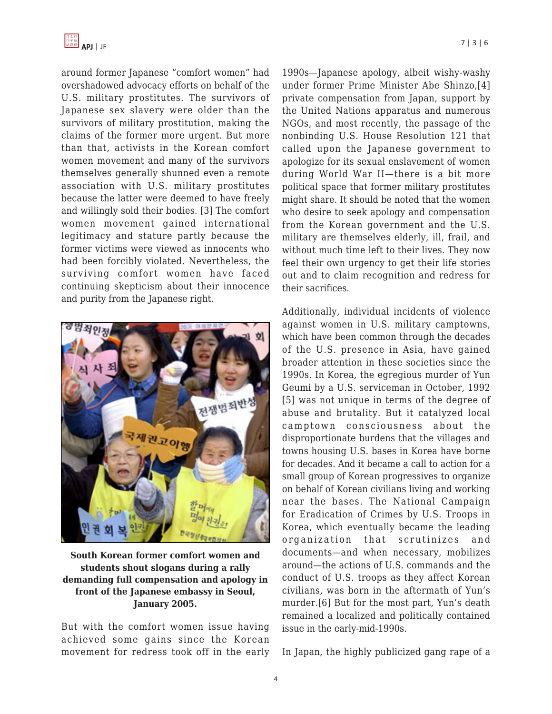around former Japanese "comfort women" had overshadowed advocacy efforts on behalf of the U.S. military prostitutes. The survivors of Japanese sex slavery were older than the survivors of military prostitution, making the claims of the former more urgent. But more than that, activists in the Korean comfort women movement and many of the survivors themselves generally shunned even a remote association with U.S. military prostitutes because the latter were deemed to have freely and willingly sold their bodies. [3] The comfort women movement gained international legitimacy and stature partly because the former victims were viewed as innocents who had been forcibly violated. Nevertheless, the surviving comfort women have faced continuing skepticism about their innocence and purity from the Japanese right.



**South Korean former comfort women and students shout slogans during a rally demanding full compensation and apology in front of the Japanese embassy in Seoul, January 2005.**

But with the comfort women issue having achieved some gains since the Korean movement for redress took off in the early

1990s—Japanese apology, albeit wishy-washy under former Prime Minister Abe Shinzo,[4] private compensation from Japan, support by the United Nations apparatus and numerous NGOs, and most recently, the passage of the nonbinding U.S. House Resolution 121 that called upon the Japanese government to apologize for its sexual enslavement of women during World War II—there is a bit more political space that former military prostitutes might share. It should be noted that the women who desire to seek apology and compensation from the Korean government and the U.S. military are themselves elderly, ill, frail, and without much time left to their lives. They now feel their own urgency to get their life stories out and to claim recognition and redress for their sacrifices.

Additionally, individual incidents of violence against women in U.S. military camptowns, which have been common through the decades of the U.S. presence in Asia, have gained broader attention in these societies since the 1990s. In Korea, the egregious murder of Yun Geumi by a U.S. serviceman in October, 1992 [5] was not unique in terms of the degree of abuse and brutality. But it catalyzed local camptown consciousness about the disproportionate burdens that the villages and towns housing U.S. bases in Korea have borne for decades. And it became a call to action for a small group of Korean progressives to organize on behalf of Korean civilians living and working near the bases. The National Campaign for Eradication of Crimes by U.S. Troops in Korea, which eventually became the leading organization that scrutinizes and documents—and when necessary, mobilizes around—the actions of U.S. commands and the conduct of U.S. troops as they affect Korean civilians, was born in the aftermath of Yun's murder.[6] But for the most part, Yun's death remained a localized and politically contained issue in the early-mid-1990s.

In Japan, the highly publicized gang rape of a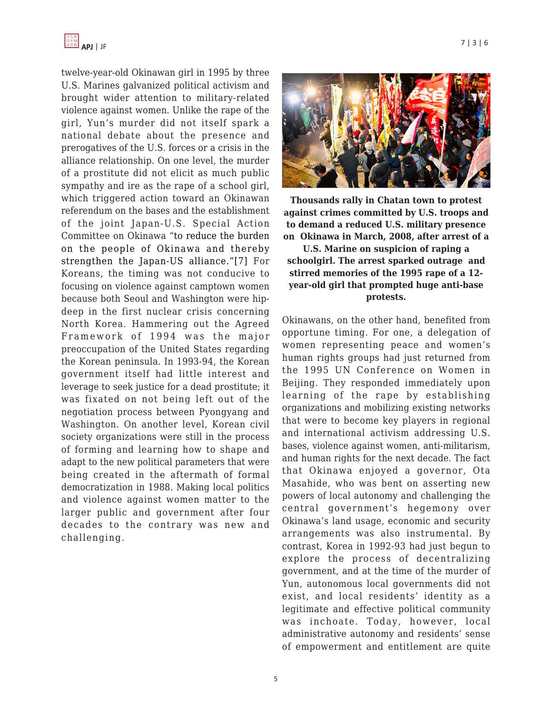

twelve-year-old Okinawan girl in 1995 by three U.S. Marines galvanized political activism and brought wider attention to military-related violence against women. Unlike the rape of the girl, Yun's murder did not itself spark a national debate about the presence and prerogatives of the U.S. forces or a crisis in the alliance relationship. On one level, the murder of a prostitute did not elicit as much public sympathy and ire as the rape of a school girl, which triggered action toward an Okinawan referendum on the bases and the establishment of the joint Japan-U.S. Special Action Committee on Okinawa "to reduce the burden on the people of Okinawa and thereby strengthen the Japan-US alliance."[7] For Koreans, the timing was not conducive to focusing on violence against camptown women because both Seoul and Washington were hipdeep in the first nuclear crisis concerning North Korea. Hammering out the Agreed Framework of 1994 was the major preoccupation of the United States regarding the Korean peninsula. In 1993-94, the Korean government itself had little interest and leverage to seek justice for a dead prostitute; it was fixated on not being left out of the negotiation process between Pyongyang and Washington. On another level, Korean civil society organizations were still in the process of forming and learning how to shape and adapt to the new political parameters that were being created in the aftermath of formal democratization in 1988. Making local politics and violence against women matter to the larger public and government after four decades to the contrary was new and challenging.



**Thousands rally in Chatan town to protest against crimes committed by U.S. troops and to demand a reduced U.S. military presence on Okinawa in March, 2008, after arrest of a**

**U.S. Marine on suspicion of raping a schoolgirl. The arrest sparked outrage and stirred memories of the 1995 rape of a 12 year-old girl that prompted huge anti-base protests.**

Okinawans, on the other hand, benefited from opportune timing. For one, a delegation of women representing peace and women's human rights groups had just returned from the 1995 UN Conference on Women in Beijing. They responded immediately upon learning of the rape by establishing organizations and mobilizing existing networks that were to become key players in regional and international activism addressing U.S. bases, violence against women, anti-militarism, and human rights for the next decade. The fact that Okinawa enjoyed a governor, Ota Masahide, who was bent on asserting new powers of local autonomy and challenging the central government's hegemony over Okinawa's land usage, economic and security arrangements was also instrumental. By contrast, Korea in 1992-93 had just begun to explore the process of decentralizing government, and at the time of the murder of Yun, autonomous local governments did not exist, and local residents' identity as a legitimate and effective political community was inchoate. Today, however, local administrative autonomy and residents' sense of empowerment and entitlement are quite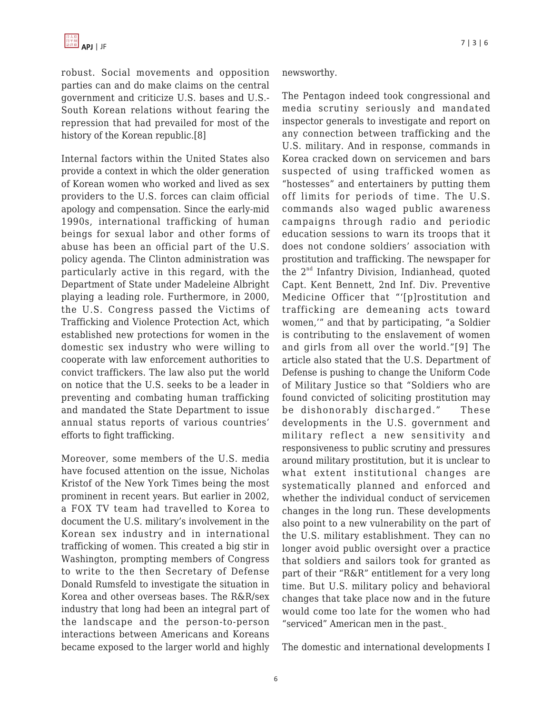robust. Social movements and opposition parties can and do make claims on the central government and criticize U.S. bases and U.S.- South Korean relations without fearing the repression that had prevailed for most of the history of the Korean republic.[8]

Internal factors within the United States also provide a context in which the older generation of Korean women who worked and lived as sex providers to the U.S. forces can claim official apology and compensation. Since the early-mid 1990s, international trafficking of human beings for sexual labor and other forms of abuse has been an official part of the U.S. policy agenda. The Clinton administration was particularly active in this regard, with the Department of State under Madeleine Albright playing a leading role. Furthermore, in 2000, the U.S. Congress passed the Victims of Trafficking and Violence Protection Act, which established new protections for women in the domestic sex industry who were willing to cooperate with law enforcement authorities to convict traffickers. The law also put the world on notice that the U.S. seeks to be a leader in preventing and combating human trafficking and mandated the State Department to issue annual status reports of various countries' efforts to fight trafficking.

Moreover, some members of the U.S. media have focused attention on the issue, Nicholas Kristof of the New York Times being the most prominent in recent years. But earlier in 2002, a FOX TV team had travelled to Korea to document the U.S. military's involvement in the Korean sex industry and in international trafficking of women. This created a big stir in Washington, prompting members of Congress to write to the then Secretary of Defense Donald Rumsfeld to investigate the situation in Korea and other overseas bases. The R&R/sex industry that long had been an integral part of the landscape and the person-to-person interactions between Americans and Koreans became exposed to the larger world and highly newsworthy.

The Pentagon indeed took congressional and media scrutiny seriously and mandated inspector generals to investigate and report on any connection between trafficking and the U.S. military. And in response, commands in Korea cracked down on servicemen and bars suspected of using trafficked women as "hostesses" and entertainers by putting them off limits for periods of time. The U.S. commands also waged public awareness campaigns through radio and periodic education sessions to warn its troops that it does not condone soldiers' association with prostitution and trafficking. The newspaper for the  $2<sup>nd</sup>$  Infantry Division, Indianhead, quoted Capt. Kent Bennett, 2nd Inf. Div. Preventive Medicine Officer that "'[p]rostitution and trafficking are demeaning acts toward women,'" and that by participating, "a Soldier is contributing to the enslavement of women and girls from all over the world."[9] The article also stated that the U.S. Department of Defense is pushing to change the Uniform Code of Military Justice so that "Soldiers who are found convicted of soliciting prostitution may be dishonorably discharged." These developments in the U.S. government and military reflect a new sensitivity and responsiveness to public scrutiny and pressures around military prostitution, but it is unclear to what extent institutional changes are systematically planned and enforced and whether the individual conduct of servicemen changes in the long run. These developments also point to a new vulnerability on the part of the U.S. military establishment. They can no longer avoid public oversight over a practice that soldiers and sailors took for granted as part of their "R&R" entitlement for a very long time. But U.S. military policy and behavioral changes that take place now and in the future would come too late for the women who had "serviced" American men in the past.

The domestic and international developments I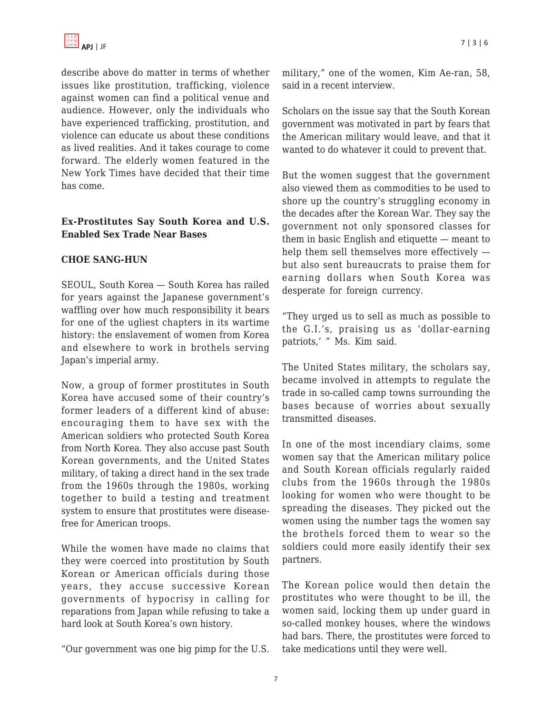describe above do matter in terms of whether issues like prostitution, trafficking, violence against women can find a political venue and audience. However, only the individuals who have experienced trafficking, prostitution, and violence can educate us about these conditions as lived realities. And it takes courage to come forward. The elderly women featured in the New York Times have decided that their time has come.

#### **Ex-Prostitutes Say South Korea and U.S. Enabled Sex Trade Near Bases**

# **CHOE SANG-HUN**

SEOUL, South Korea — South Korea has railed for years against the Japanese government's waffling over how much responsibility it bears for one of the ugliest chapters in its wartime history: the enslavement of women from Korea and elsewhere to work in brothels serving Japan's imperial army.

Now, a group of former prostitutes in South Korea have accused some of their country's former leaders of a different kind of abuse: encouraging them to have sex with the American soldiers who protected South Korea from North Korea. They also accuse past South Korean governments, and the United States military, of taking a direct hand in the sex trade from the 1960s through the 1980s, working together to build a testing and treatment system to ensure that prostitutes were diseasefree for American troops.

While the women have made no claims that they were coerced into prostitution by South Korean or American officials during those years, they accuse successive Korean governments of hypocrisy in calling for reparations from Japan while refusing to take a hard look at South Korea's own history.

"Our government was one big pimp for the U.S.

military," one of the women, Kim Ae-ran, 58, said in a recent interview.

Scholars on the issue say that the South Korean government was motivated in part by fears that the American military would leave, and that it wanted to do whatever it could to prevent that.

But the women suggest that the government also viewed them as commodities to be used to shore up the country's struggling economy in the decades after the Korean War. They say the government not only sponsored classes for them in basic English and etiquette — meant to help them sell themselves more effectively but also sent bureaucrats to praise them for earning dollars when South Korea was desperate for foreign currency.

"They urged us to sell as much as possible to the G.I.'s, praising us as 'dollar-earning patriots,' " Ms. Kim said.

The United States military, the scholars say, became involved in attempts to regulate the trade in so-called camp towns surrounding the bases because of worries about sexually transmitted diseases.

In one of the most incendiary claims, some women say that the American military police and South Korean officials regularly raided clubs from the 1960s through the 1980s looking for women who were thought to be spreading the diseases. They picked out the women using the number tags the women say the brothels forced them to wear so the soldiers could more easily identify their sex partners.

The Korean police would then detain the prostitutes who were thought to be ill, the women said, locking them up under guard in so-called monkey houses, where the windows had bars. There, the prostitutes were forced to take medications until they were well.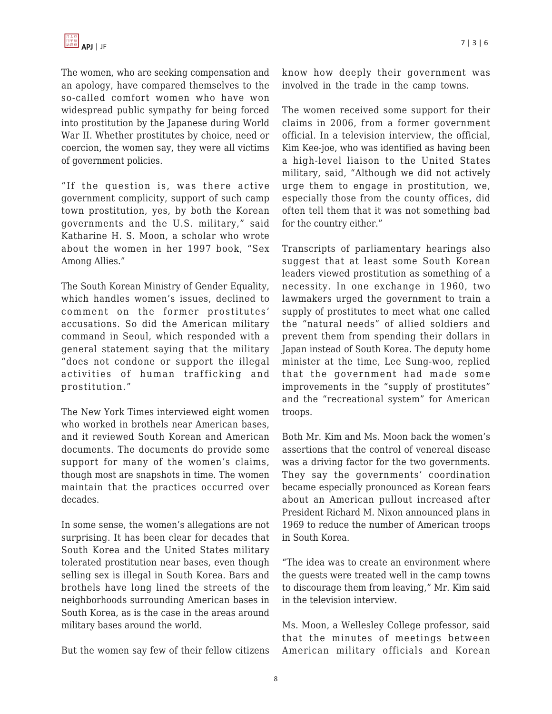The women, who are seeking compensation and an apology, have compared themselves to the so-called comfort women who have won widespread public sympathy for being forced into prostitution by the Japanese during World War II. Whether prostitutes by choice, need or coercion, the women say, they were all victims of government policies.

"If the question is, was there active government complicity, support of such camp town prostitution, yes, by both the Korean governments and the U.S. military," said Katharine H. S. Moon, a scholar who wrote about the women in her 1997 book, "Sex Among Allies."

The South Korean Ministry of Gender Equality, which handles women's issues, declined to comment on the former prostitutes' accusations. So did the American military command in Seoul, which responded with a general statement saying that the military "does not condone or support the illegal activities of human trafficking and prostitution."

The New York Times interviewed eight women who worked in brothels near American bases, and it reviewed South Korean and American documents. The documents do provide some support for many of the women's claims, though most are snapshots in time. The women maintain that the practices occurred over decades.

In some sense, the women's allegations are not surprising. It has been clear for decades that South Korea and the United States military tolerated prostitution near bases, even though selling sex is illegal in South Korea. Bars and brothels have long lined the streets of the neighborhoods surrounding American bases in South Korea, as is the case in the areas around military bases around the world.

But the women say few of their fellow citizens

know how deeply their government was involved in the trade in the camp towns.

The women received some support for their claims in 2006, from a former government official. In a television interview, the official, Kim Kee-joe, who was identified as having been a high-level liaison to the United States military, said, "Although we did not actively urge them to engage in prostitution, we, especially those from the county offices, did often tell them that it was not something bad for the country either."

Transcripts of parliamentary hearings also suggest that at least some South Korean leaders viewed prostitution as something of a necessity. In one exchange in 1960, two lawmakers urged the government to train a supply of prostitutes to meet what one called the "natural needs" of allied soldiers and prevent them from spending their dollars in Japan instead of South Korea. The deputy home minister at the time, Lee Sung-woo, replied that the government had made some improvements in the "supply of prostitutes" and the "recreational system" for American troops.

Both Mr. Kim and Ms. Moon back the women's assertions that the control of venereal disease was a driving factor for the two governments. They say the governments' coordination became especially pronounced as Korean fears about an American pullout increased after President Richard M. Nixon announced plans in 1969 to reduce the number of American troops in South Korea.

"The idea was to create an environment where the guests were treated well in the camp towns to discourage them from leaving," Mr. Kim said in the television interview.

Ms. Moon, a Wellesley College professor, said that the minutes of meetings between American military officials and Korean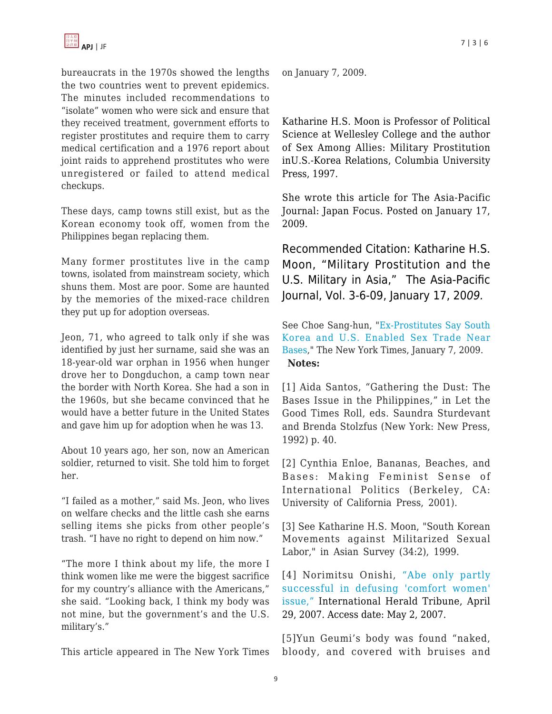

bureaucrats in the 1970s showed the lengths the two countries went to prevent epidemics. The minutes included recommendations to "isolate" women who were sick and ensure that they received treatment, government efforts to register prostitutes and require them to carry medical certification and a 1976 report about joint raids to apprehend prostitutes who were unregistered or failed to attend medical checkups.

These days, camp towns still exist, but as the Korean economy took off, women from the Philippines began replacing them.

Many former prostitutes live in the camp towns, isolated from mainstream society, which shuns them. Most are poor. Some are haunted by the memories of the mixed-race children they put up for adoption overseas.

Jeon, 71, who agreed to talk only if she was identified by just her surname, said she was an 18-year-old war orphan in 1956 when hunger drove her to Dongduchon, a camp town near the border with North Korea. She had a son in the 1960s, but she became convinced that he would have a better future in the United States and gave him up for adoption when he was 13.

About 10 years ago, her son, now an American soldier, returned to visit. She told him to forget her.

"I failed as a mother," said Ms. Jeon, who lives on welfare checks and the little cash she earns selling items she picks from other people's trash. "I have no right to depend on him now."

"The more I think about my life, the more I think women like me were the biggest sacrifice for my country's alliance with the Americans," she said. "Looking back, I think my body was not mine, but the government's and the U.S. military's."

This article appeared in The New York Times

on January 7, 2009.

Katharine H.S. Moon is Professor of Political Science at Wellesley College and the author of Sex Among Allies: Military Prostitution inU.S.-Korea Relations, Columbia University Press, 1997.

She wrote this article for The Asia-Pacific Journal: Japan Focus. Posted on January 17, 2009.

Recommended Citation: Katharine H.S. Moon, "Military Prostitution and the U.S. Military in Asia," The Asia-Pacific Journal, Vol. 3-6-09, January 17, 2009.

See Choe Sang-hun, "[Ex-Prostitutes Say South](http://www.nytimes.com/2009/01/08/world/asia/08korea.html) [Korea and U.S. Enabled Sex Trade Near](http://www.nytimes.com/2009/01/08/world/asia/08korea.html) [Bases,](http://www.nytimes.com/2009/01/08/world/asia/08korea.html)" The New York Times, January 7, 2009. **Notes:**

[1] Aida Santos, "Gathering the Dust: The Bases Issue in the Philippines," in Let the Good Times Roll, eds. Saundra Sturdevant and Brenda Stolzfus (New York: New Press, 1992) p. 40.

[2] Cynthia Enloe, Bananas, Beaches, and Bases: Making Feminist Sense of International Politics (Berkeley, CA: University of California Press, 2001).

[3] See Katharine H.S. Moon, "South Korean Movements against Militarized Sexual Labor," in Asian Survey (34:2), 1999.

[4] Norimitsu Onishi, ["Abe only partly](http://www.iht.com/articles/2007/04/29/news/abe.php) [successful in defusing 'comfort women'](http://www.iht.com/articles/2007/04/29/news/abe.php) [issue,"](http://www.iht.com/articles/2007/04/29/news/abe.php) International Herald Tribune, April 29, 2007. Access date: May 2, 2007.

[5]Yun Geumi's body was found "naked, bloody, and covered with bruises and